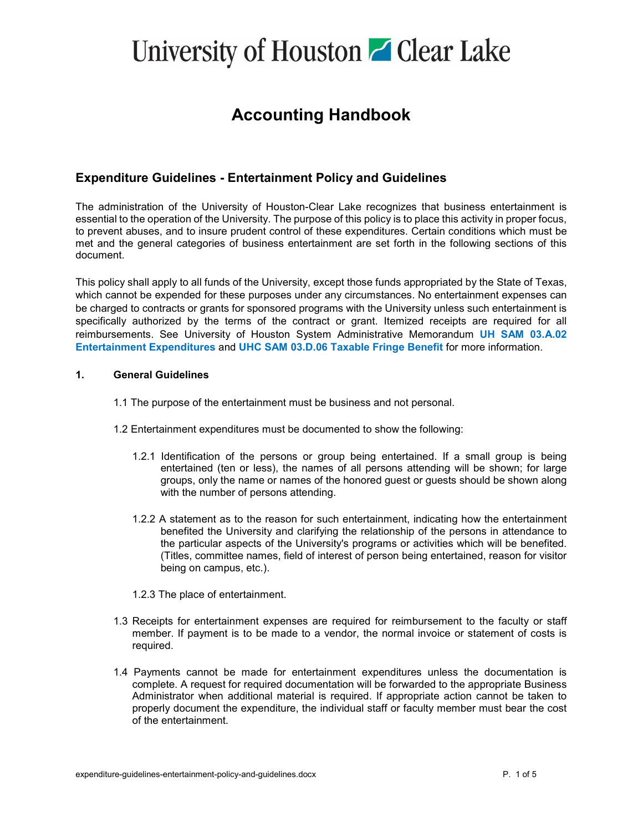#### **Accounting Handbook**

#### **Expenditure Guidelines - Entertainment Policy and Guidelines**

The administration of the University of Houston-Clear Lake recognizes that business entertainment is essential to the operation of the University. The purpose of this policy is to place this activity in proper focus, to prevent abuses, and to insure prudent control of these expenditures. Certain conditions which must be met and the general categories of business entertainment are set forth in the following sections of this document.

This policy shall apply to all funds of the University, except those funds appropriated by the State of Texas, which cannot be expended for these purposes under any circumstances. No entertainment expenses can be charged to contracts or grants for sponsored programs with the University unless such entertainment is specifically authorized by the terms of the contract or grant. Itemized receipts are required for all reimbursements. See University of Houston System Administrative Memorandum **[UH SAM 03.A.02](http://www.uh.edu/af/universityservices/policies/sam/3FicsalAffairs/3A2.pdf)  [Entertainment Expenditures](http://www.uh.edu/af/universityservices/policies/sam/3FicsalAffairs/3A2.pdf)** and **[UHC SAM 03.D.06 Taxable Fringe Benefit](http://www.uh.edu/af/universityservices/policies/sam/3FicsalAffairs/3D6.pdf)** for more information.

#### **1. General Guidelines**

- 1.1 The purpose of the entertainment must be business and not personal.
- 1.2 Entertainment expenditures must be documented to show the following:
	- 1.2.1 Identification of the persons or group being entertained. If a small group is being entertained (ten or less), the names of all persons attending will be shown; for large groups, only the name or names of the honored guest or guests should be shown along with the number of persons attending.
	- 1.2.2 A statement as to the reason for such entertainment, indicating how the entertainment benefited the University and clarifying the relationship of the persons in attendance to the particular aspects of the University's programs or activities which will be benefited. (Titles, committee names, field of interest of person being entertained, reason for visitor being on campus, etc.).
	- 1.2.3 The place of entertainment.
- 1.3 Receipts for entertainment expenses are required for reimbursement to the faculty or staff member. If payment is to be made to a vendor, the normal invoice or statement of costs is required.
- 1.4 Payments cannot be made for entertainment expenditures unless the documentation is complete. A request for required documentation will be forwarded to the appropriate Business Administrator when additional material is required. If appropriate action cannot be taken to properly document the expenditure, the individual staff or faculty member must bear the cost of the entertainment.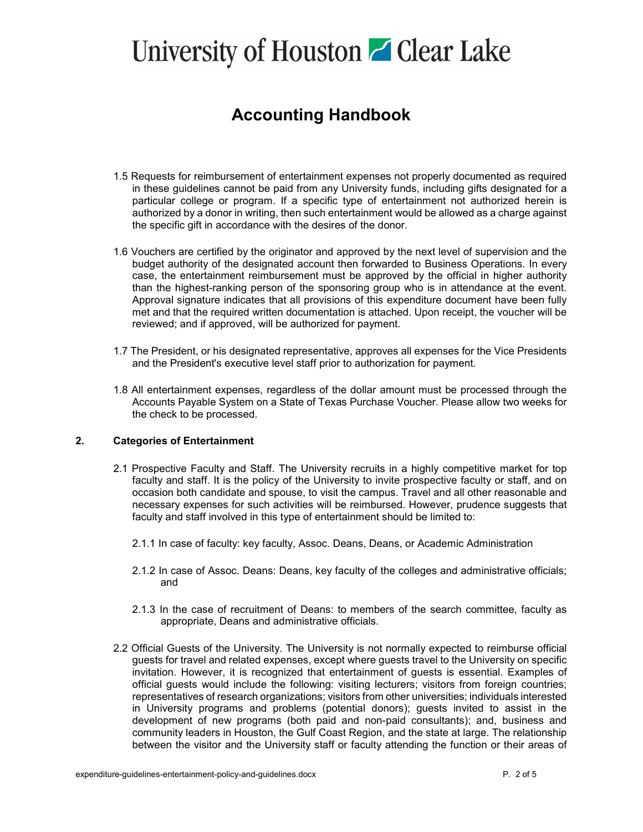### **Accounting Handbook**

- 1.5 Requests for reimbursement of entertainment expenses not properly documented as required in these guidelines cannot be paid from any University funds, including gifts designated for a particular college or program. If a specific type of entertainment not authorized herein is authorized by a donor in writing, then such entertainment would be allowed as a charge against the specific gift in accordance with the desires of the donor.
- 1.6 Vouchers are certified by the originator and approved by the next level of supervision and the budget authority of the designated account then forwarded to Business Operations. In every case, the entertainment reimbursement must be approved by the official in higher authority than the highest-ranking person of the sponsoring group who is in attendance at the event. Approval signature indicates that all provisions of this expenditure document have been fully met and that the required written documentation is attached. Upon receipt, the voucher will be reviewed; and if approved, will be authorized for payment.
- 1.7 The President, or his designated representative, approves all expenses for the Vice Presidents and the President's executive level staff prior to authorization for payment.
- 1.8 All entertainment expenses, regardless of the dollar amount must be processed through the Accounts Payable System on a State of Texas Purchase Voucher. Please allow two weeks for the check to be processed.

#### **2. Categories of Entertainment**

- 2.1 Prospective Faculty and Staff. The University recruits in a highly competitive market for top faculty and staff. It is the policy of the University to invite prospective faculty or staff, and on occasion both candidate and spouse, to visit the campus. Travel and all other reasonable and necessary expenses for such activities will be reimbursed. However, prudence suggests that faculty and staff involved in this type of entertainment should be limited to:
	- 2.1.1 In case of faculty: key faculty, Assoc. Deans, Deans, or Academic Administration
	- 2.1.2 In case of Assoc. Deans: Deans, key faculty of the colleges and administrative officials; and
	- 2.1.3 In the case of recruitment of Deans: to members of the search committee, faculty as appropriate, Deans and administrative officials.
- 2.2 Official Guests of the University. The University is not normally expected to reimburse official guests for travel and related expenses, except where guests travel to the University on specific invitation. However, it is recognized that entertainment of guests is essential. Examples of official guests would include the following: visiting lecturers; visitors from foreign countries; representatives of research organizations; visitors from other universities; individuals interested in University programs and problems (potential donors); guests invited to assist in the development of new programs (both paid and non-paid consultants); and, business and community leaders in Houston, the Gulf Coast Region, and the state at large. The relationship between the visitor and the University staff or faculty attending the function or their areas of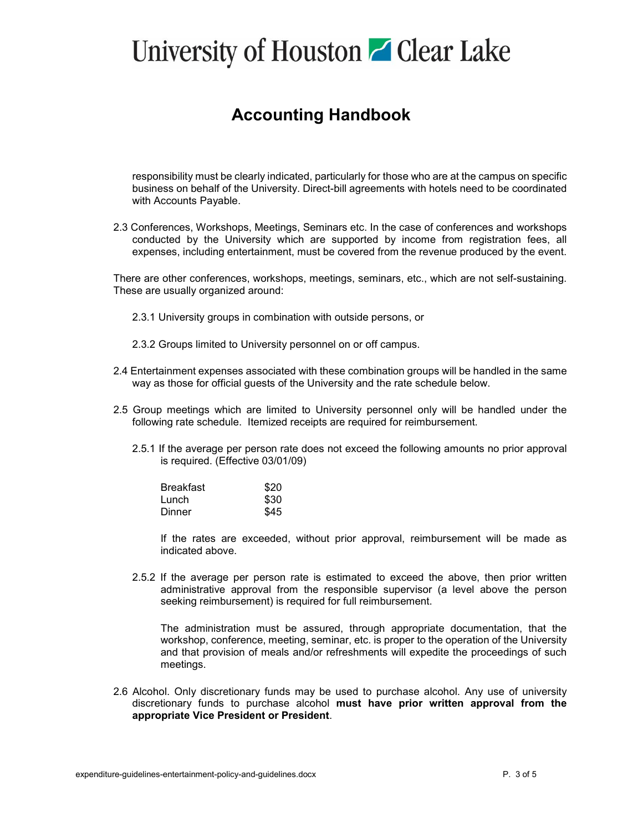### **Accounting Handbook**

responsibility must be clearly indicated, particularly for those who are at the campus on specific business on behalf of the University. Direct-bill agreements with hotels need to be coordinated with Accounts Payable.

2.3 Conferences, Workshops, Meetings, Seminars etc. In the case of conferences and workshops conducted by the University which are supported by income from registration fees, all expenses, including entertainment, must be covered from the revenue produced by the event.

There are other conferences, workshops, meetings, seminars, etc., which are not self-sustaining. These are usually organized around:

- 2.3.1 University groups in combination with outside persons, or
- 2.3.2 Groups limited to University personnel on or off campus.
- 2.4 Entertainment expenses associated with these combination groups will be handled in the same way as those for official guests of the University and the rate schedule below.
- 2.5 Group meetings which are limited to University personnel only will be handled under the following rate schedule. Itemized receipts are required for reimbursement.
	- 2.5.1 If the average per person rate does not exceed the following amounts no prior approval is required. (Effective 03/01/09)

| Breakfast | \$20 |
|-----------|------|
| Lunch     | \$30 |
| Dinner    | \$45 |

If the rates are exceeded, without prior approval, reimbursement will be made as indicated above.

2.5.2 If the average per person rate is estimated to exceed the above, then prior written administrative approval from the responsible supervisor (a level above the person seeking reimbursement) is required for full reimbursement.

The administration must be assured, through appropriate documentation, that the workshop, conference, meeting, seminar, etc. is proper to the operation of the University and that provision of meals and/or refreshments will expedite the proceedings of such meetings.

2.6 Alcohol. Only discretionary funds may be used to purchase alcohol. Any use of university discretionary funds to purchase alcohol **must have prior written approval from the appropriate Vice President or President**.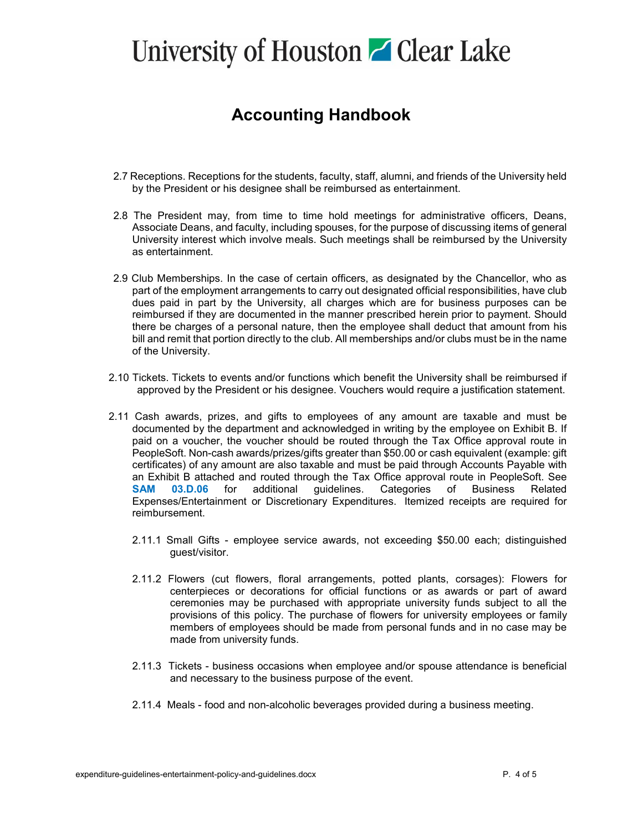#### **Accounting Handbook**

- 2.7 Receptions. Receptions for the students, faculty, staff, alumni, and friends of the University held by the President or his designee shall be reimbursed as entertainment.
- 2.8 The President may, from time to time hold meetings for administrative officers, Deans, Associate Deans, and faculty, including spouses, for the purpose of discussing items of general University interest which involve meals. Such meetings shall be reimbursed by the University as entertainment.
- 2.9 Club Memberships. In the case of certain officers, as designated by the Chancellor, who as part of the employment arrangements to carry out designated official responsibilities, have club dues paid in part by the University, all charges which are for business purposes can be reimbursed if they are documented in the manner prescribed herein prior to payment. Should there be charges of a personal nature, then the employee shall deduct that amount from his bill and remit that portion directly to the club. All memberships and/or clubs must be in the name of the University.
- 2.10 Tickets. Tickets to events and/or functions which benefit the University shall be reimbursed if approved by the President or his designee. Vouchers would require a justification statement.
- 2.11 Cash awards, prizes, and gifts to employees of any amount are taxable and must be documented by the department and acknowledged in writing by the employee on Exhibit B. If paid on a voucher, the voucher should be routed through the Tax Office approval route in PeopleSoft. Non-cash awards/prizes/gifts greater than \$50.00 or cash equivalent (example: gift certificates) of any amount are also taxable and must be paid through Accounts Payable with an Exhibit B attached and routed through the Tax Office approval route in PeopleSoft. See **[SAM 03.D.06](http://www.uh.edu/af/universityservices/policies/sam/3FicsalAffairs/3D6.pdf)** for additional guidelines. Categories of Business Related Expenses/Entertainment or Discretionary Expenditures. Itemized receipts are required for reimbursement.
	- 2.11.1 Small Gifts employee service awards, not exceeding \$50.00 each; distinguished guest/visitor.
	- 2.11.2 Flowers (cut flowers, floral arrangements, potted plants, corsages): Flowers for centerpieces or decorations for official functions or as awards or part of award ceremonies may be purchased with appropriate university funds subject to all the provisions of this policy. The purchase of flowers for university employees or family members of employees should be made from personal funds and in no case may be made from university funds.
	- 2.11.3 Tickets business occasions when employee and/or spouse attendance is beneficial and necessary to the business purpose of the event.
	- 2.11.4 Meals food and non-alcoholic beverages provided during a business meeting.